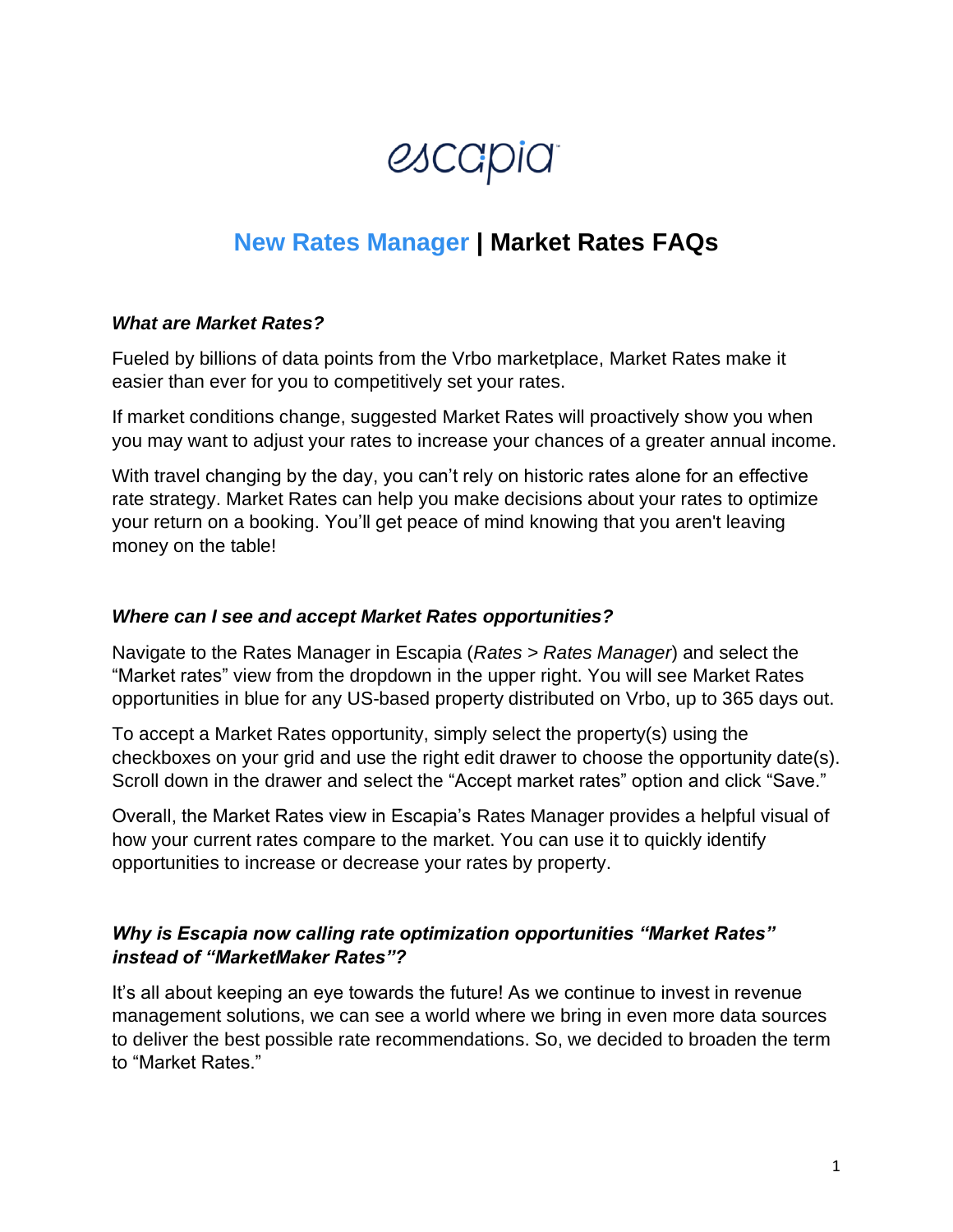# *escapia*

## **New Rates Manager | Market Rates FAQs**

#### *What are Market Rates?*

Fueled by billions of data points from the Vrbo marketplace, Market Rates make it easier than ever for you to competitively set your rates.

If market conditions change, suggested Market Rates will proactively show you when you may want to adjust your rates to increase your chances of a greater annual income.

With travel changing by the day, you can't rely on historic rates alone for an effective rate strategy. Market Rates can help you make decisions about your rates to optimize your return on a booking. You'll get peace of mind knowing that you aren't leaving money on the table!

#### *Where can I see and accept Market Rates opportunities?*

Navigate to the Rates Manager in Escapia (*Rates > Rates Manager*) and select the "Market rates" view from the dropdown in the upper right. You will see Market Rates opportunities in blue for any US-based property distributed on Vrbo, up to 365 days out.

To accept a Market Rates opportunity, simply select the property(s) using the checkboxes on your grid and use the right edit drawer to choose the opportunity date(s). Scroll down in the drawer and select the "Accept market rates" option and click "Save."

Overall, the Market Rates view in Escapia's Rates Manager provides a helpful visual of how your current rates compare to the market. You can use it to quickly identify opportunities to increase or decrease your rates by property.

#### *Why is Escapia now calling rate optimization opportunities "Market Rates" instead of "MarketMaker Rates"?*

It's all about keeping an eye towards the future! As we continue to invest in revenue management solutions, we can see a world where we bring in even more data sources to deliver the best possible rate recommendations. So, we decided to broaden the term to "Market Rates."